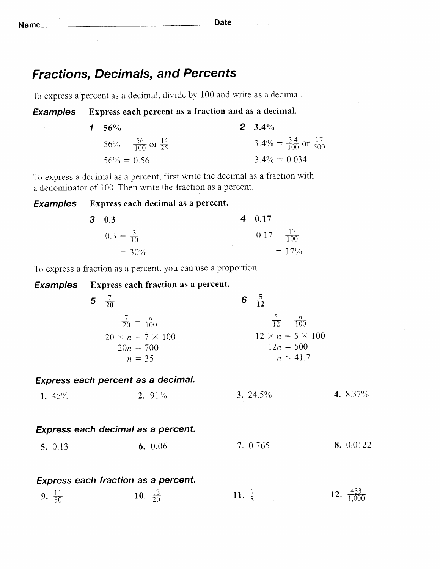Name Date

## Fractions, Decimals, and Percents

To express a percent as a decimal, divide by 100 and wnte as a decrmal.

### Examples Express each percent as a fraction and as a decimal.

| 1 56\%                                     | $2^{9}$ 3.4%                                  |
|--------------------------------------------|-----------------------------------------------|
| $56\% = \frac{56}{100}$ or $\frac{14}{25}$ | $3.4\% = \frac{3.4}{100}$ or $\frac{17}{500}$ |
| $56\% = 0.56$                              | $3.4\% = 0.034$                               |

To express a decimal as a percent, first write the decimal as a fraction with a denominator of 100. Then write the fraction as a percent.

### Examples Express each decimal as a percent.

 $3<sup>°</sup>$ 

| 0.3                  | $4\quad 0.17$           |
|----------------------|-------------------------|
| $0.3 = \frac{3}{10}$ | $0.17 = \frac{17}{100}$ |
| $= 30\%$             | $= 17\%$                |

To express a fraction as a percent, you can use a proportion.

| Examples           | <b>Express each fraction as a percent.</b> |                   |                                |                         |
|--------------------|--------------------------------------------|-------------------|--------------------------------|-------------------------|
|                    | 5 $\frac{7}{20}$                           |                   | 6 $\frac{5}{12}$               |                         |
|                    | $\frac{7}{20} = \frac{n}{100}$             |                   | $\frac{5}{12} = \frac{n}{100}$ |                         |
|                    | $20 \times n = 7 \times 100$               |                   | $12 \times n = 5 \times 100$   |                         |
|                    | $20n = 700$                                |                   | $12n = 500$                    |                         |
|                    | $n = 35$                                   |                   | $n \approx 41.7$               |                         |
|                    | Express each percent as a decimal.         |                   |                                |                         |
| 1. $45%$           | 2. 91%                                     |                   | 3. 24.5%                       | 4. 8.37%                |
|                    |                                            |                   |                                |                         |
|                    | Express each decimal as a percent.         |                   |                                |                         |
| 5. 0.13            | 6. $0.06$                                  |                   | 7. 0.765                       | 8. 0.0122               |
|                    |                                            |                   |                                |                         |
|                    | <b>Express each fraction as a percent.</b> |                   |                                |                         |
| 9. $\frac{11}{50}$ | 10. $\frac{13}{20}$                        | 11. $\frac{1}{8}$ |                                | 12. $\frac{433}{1,000}$ |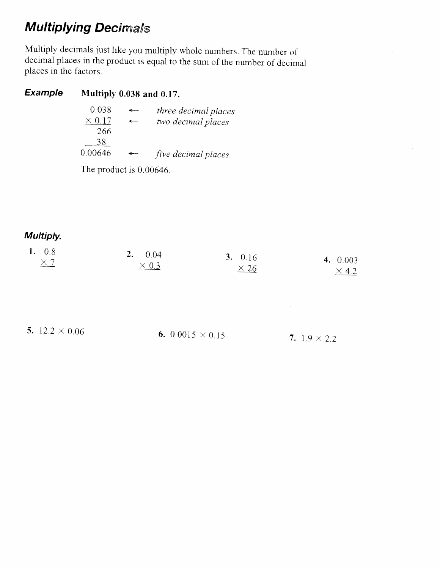# **Multiplying Decimals**

Multiply decimals just like you multiply whole numbers. The number of decimal places in the product is equal to the sum of the number of decimal piaces in the factors.

 $\bar{z}$ 

### Example Multiply 0.038 and 0.17.

| 0.038         |              | three decimal places |
|---------------|--------------|----------------------|
| $\times$ 0.17 | ←            | two decimal places   |
| 266           |              |                      |
| 38            |              |                      |
| 0.00646       | $\leftarrow$ | five decimal places  |

 $\sim 10^{-1}$ 

The product is 0.00646.

Multiply.

| 1. $0.8$   | 2. $0.04$    | 3. $0.16$   |              |
|------------|--------------|-------------|--------------|
| $\times$ 7 | $\times$ 0.3 |             | 4. $0.003$   |
|            |              | $\times$ 26 | $\times$ 4.2 |

 $\mathcal{L}^{\text{max}}$ 

5.  $12.2 \times 0.06$ 6.  $0.0015 \times 0.15$  7.  $1.9 \times 2.2$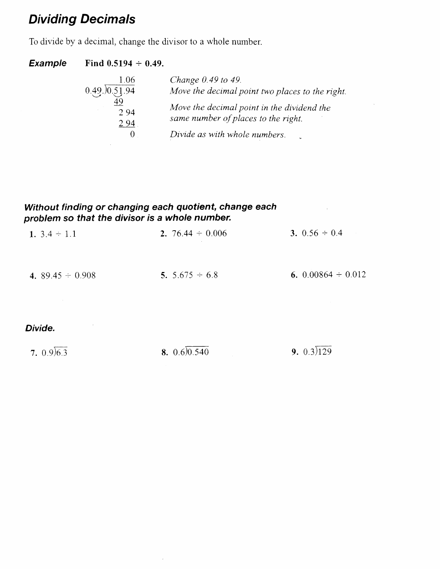# Dividing Decimals

To divide by a decimal, change the divisor to a whole number.

### Example Find  $0.5194 \div 0.49$ .

| 1.06         | Change 0.49 to 49.                                                                |
|--------------|-----------------------------------------------------------------------------------|
| 0.49.0051.94 | Move the decimal point two places to the right.                                   |
| 294<br>294   | Move the decimal point in the dividend the<br>same number of places to the right. |
|              | Divide as with whole numbers.                                                     |
|              |                                                                                   |

 $\sim$ 

 $\Delta$ 

### Without finding or changing each quotient, change each problem so that the divisor is a whole number.

 $\sim$ 

| 1. $3.4 \div 1.1$                          | 2. 76.44 $\div$ 0.006 | 3. $0.56 \div 0.4$                |
|--------------------------------------------|-----------------------|-----------------------------------|
| 4. $89.45 \div 0.908$<br><b>Contractor</b> | 5. $5.675 \div 6.8$   | 6. $0.00864 \div 0.012$           |
| $\sigma_{\rm{max}}=0.1$<br>Divide.         |                       | the control of the control of the |
| 7. $0.9)6.3$                               | 8. $0.6)0.540$        | 9. $0.3)129$                      |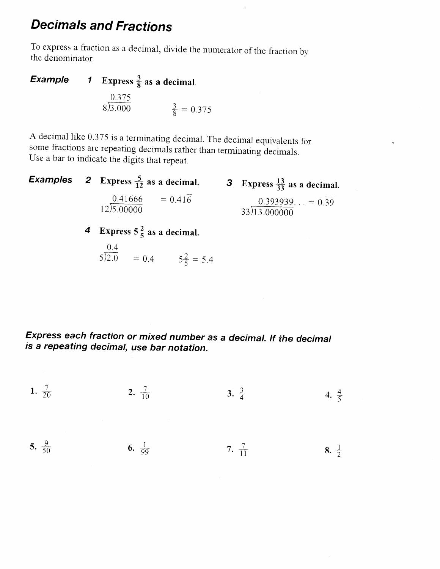# **Decimals and Fractions**

To express a fraction as a decimal, divide the numerator of the fraction by the denominator.

Example **1** Express  $\frac{3}{8}$  as a decimal.  $\frac{0.375}{8}$   $\frac{3}{3.000}$   $\frac{3}{8}$  = 0.375

A decimal like 0.375 is a terminating decimal. The decimal equivalents for some fractions are repeating decimals rather than terminating decimals. Use a bar to indicate the digits that repeat.

|  | <b>Examples</b> 2 Express $\frac{5}{12}$ as a decimal. | 3 Express $\frac{13}{33}$ as a decimal.      |
|--|--------------------------------------------------------|----------------------------------------------|
|  | $0.41666$ = 0.416<br>$12\overline{)5.00000}$           | $0.393939 = 0.\overline{39}$<br>33)13.000000 |
|  | 4 Express $5\frac{2}{5}$ as a decimal.                 |                                              |
|  | 0.4<br>$5\overline{)2.0}$ = 0.4 $5\frac{2}{5}$ = 5.4   |                                              |

Express each fraction or mixed number as a decimal. If the decimal is a repeating decimal, use bar notation.

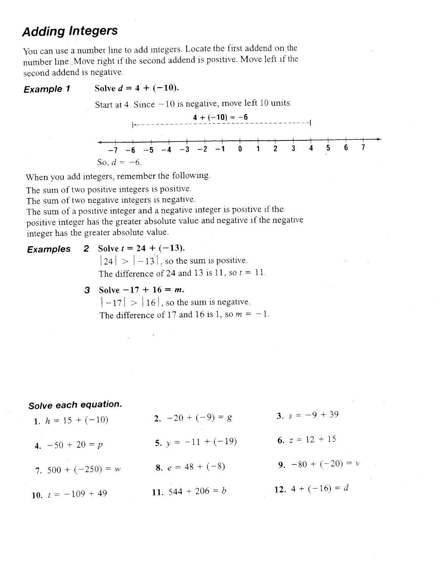# **Adding Integers**

You can use a number line to add integers. Locate the first addend on the number line. Move right if the second addend is positive. Move left if the second addend is negative.

#### **Example 1** Solve  $d = 4 + (-10)$ .

Start at 4. Since  $-10$  is negative, move left 10 units.



When you add integers, remember the following.

The sum of two positive integers is positive.

The sum of two negative integers is negative.

The sum of a positive integer and a negative integer is positive if the positive integer has the greater absolute value and negative if the negative integer has the greater absolute value.

2 Solve  $t = 24 + (-13)$ . **Examples**  $|24| > |-13|$ , so the sum is positive. The difference of 24 and 13 is 11, so  $t = 11$ . 3 Solve  $-17 + 16 = m$ .

 $\mathcal{L}^{\text{max}}$ 

 $|-17| > |16|$ , so the sum is negative. The difference of 17 and 16 is 1, so  $m = -1$ .

### Solve each equation.

| 1. $h = 15 + (-10)$   | 2. $-20 + (-9) = g$       | 3. $s = -9 + 39$     |
|-----------------------|---------------------------|----------------------|
| 4. $-50 + 20 = p$     | 5. $y = -11 + (-19)$      | 6. $z = 12 + 15$     |
| 7. $500 + (-250) = w$ | <b>8.</b> $e = 48 + (-8)$ | 9. $-80 + (-20) = v$ |
| 10. $t = -109 + 49$   | 11. $544 + 206 = b$       | 12. $4 + (-16) = d$  |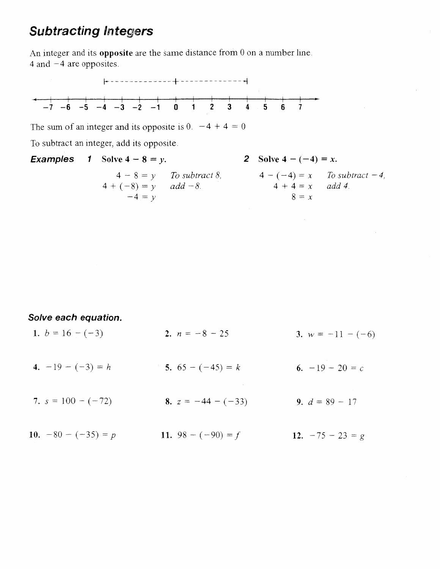## **Subtracting Integers**

An integer and its **opposite** are the same distance from 0 on a number line. 4 and  $-4$  are opposites.



The sum of an integer and its opposite is 0.  $-4 + 4 = 0$ 

To subtract an integer, add its opposite.

|  | <b>Examples</b> 1 Solve $4 - 8 = y$ . |                          |  | <b>2</b> Solve $4 - (-4) = x$ . |                                 |  |
|--|---------------------------------------|--------------------------|--|---------------------------------|---------------------------------|--|
|  |                                       | $4-8=\nu$ To subtract 8, |  |                                 | $4-(-4) = x$ To subtract $-4$ , |  |
|  | $4 + (-8) = y$ add $-8$ .             |                          |  | $4 + 4 = x$ add 4.              |                                 |  |
|  | $-4 = v$                              |                          |  | $8 = x$                         |                                 |  |

Solve each equation.

| 1. $b = 16 - (-3)$    | 2. $n = -8 - 25$     | 3. $w = -11 - (-6)$ |
|-----------------------|----------------------|---------------------|
| 4. $-19 - (-3) = h$   | 5. $65 - (-45) = k$  | 6. $-19 - 20 = c$   |
| 7. $s = 100 - (-72)$  | 8. $z = -44 - (-33)$ | 9. $d = 89 - 17$    |
| 10. $-80 - (-35) = p$ | 11. $98 - (-90) = f$ | 12. $-75 - 23 = g$  |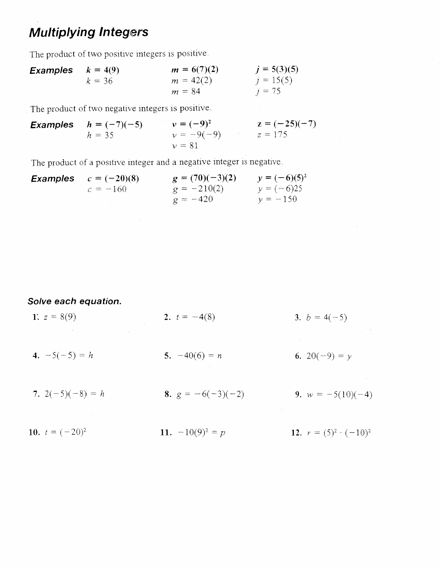# **Multiplying Integers**

The product of two positive integers is positive.

| Examples | $k = 4(9)$  | $m = 6(7)(2)$ | $j = 5(3)(5)$ |
|----------|-------------|---------------|---------------|
| $k = 36$ | $m = 42(2)$ | $j = 15(5)$   |               |
| $m = 84$ | $j = 75$    |               |               |

The product of two negative integers is positive.

Examples 
$$
h = (-7)(-5)
$$
  $v = (-9)^2$   $z = (-25)(-7)$   
\n $h = 35$   $v = -9(-9)$   $z = 175$   
\n $v = 81$ 

The product of a positive integer and a negative integer is negative.

| <b>Examples</b> | $c = (-20)(8)$ | $g = (70)(-3)(2)$ | $y = (-6)(5)^2$ |
|-----------------|----------------|-------------------|-----------------|
|                 | $c = -160$     | $g = -210(2)$     | $y = (-6)25$    |
|                 |                | $g = -420$        | $y = -150$      |
|                 |                |                   |                 |
|                 |                |                   |                 |

Solve each equation.

| $\label{eq:2.1} \mathcal{L}=\mathcal{L}(\mathcal{L}^{\mathcal{L}}(\mathcal{L}^{\mathcal{L}}(\mathcal{L}^{\mathcal{L}}(\mathcal{L}^{\mathcal{L}}(\mathcal{L}^{\mathcal{L}}(\mathcal{L}^{\mathcal{L}}(\mathcal{L}^{\mathcal{L}}(\mathcal{L}^{\mathcal{L}}(\mathcal{L}^{\mathcal{L}}(\mathcal{L}^{\mathcal{L}}(\mathcal{L}^{\mathcal{L}}(\mathcal{L}^{\mathcal{L}}(\mathcal{L}^{\mathcal{L}}(\mathcal{L}^{\mathcal{L}}(\mathcal{L}^{\mathcal{L}}(\mathcal{$ | the control of the control of the con-<br>the control of the control of the control of the |                                                       |
|----------------------------------------------------------------------------------------------------------------------------------------------------------------------------------------------------------------------------------------------------------------------------------------------------------------------------------------------------------------------------------------------------------------------------------------------------------|--------------------------------------------------------------------------------------------|-------------------------------------------------------|
| 7. $2(-5)(-8) = h$                                                                                                                                                                                                                                                                                                                                                                                                                                       | the control of the control of the control of the con-<br>8. $g = -6(-3)(-2)$               | 9. $w = -5(10)(-4)$                                   |
| 4. $-5(-5) = h$                                                                                                                                                                                                                                                                                                                                                                                                                                          | 5. $-40(6) = n$                                                                            | the second control of the second<br>6. 20( $-9$ ) = y |
| 1. $z = 8(9)$<br>is a set of the set of the set of the set of the set of the set of the set of the set of the set of the set of the set of the set of the set of the set of the set of the set of the set of the set of the set of the set of                                                                                                                                                                                                            | 2. $t = -4(8)$                                                                             | 3. $b = 4(-5)$                                        |

 $\sim 10$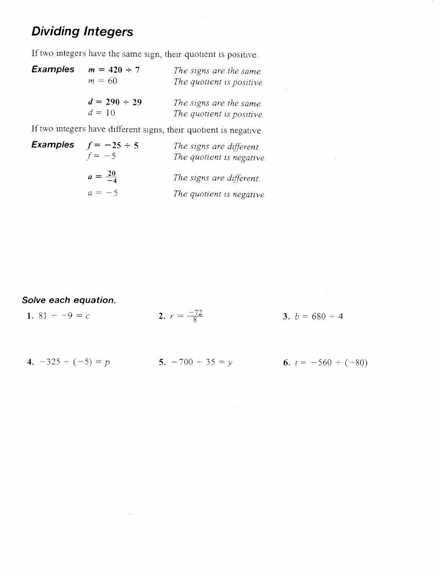# **Dividing Integers**

If two integers have the same sign, their quotient is positive.

| <b>Examples</b> | $m = 420 \div 7$<br>$m = 60$  | The signs are the same.<br>The quotient is positive. |
|-----------------|-------------------------------|------------------------------------------------------|
|                 | $d = 290 \div 29$<br>$d = 10$ | The signs are the same.<br>The quotient is positive. |

If two integers have different signs, their quotient is negative.

| <b>Examples</b> | $f = -25 \div 5$<br>$f = -5$ | The signs are different.<br>The quotient is negative. |
|-----------------|------------------------------|-------------------------------------------------------|
|                 | $a = \frac{20}{-4}$          | The signs are different.                              |
|                 | $a = -5$                     | The quotient is negative.                             |

Solve each equation.

| 1. 81 $-9 = c$       | 2. $r = \frac{-72}{8}$ | 3. $b = 680 - 4$         |
|----------------------|------------------------|--------------------------|
|                      |                        |                          |
| 4. $-325 - (-5) = p$ | 5. $-700 \div 35 = y$  | 6. $t = -560 \div (-80)$ |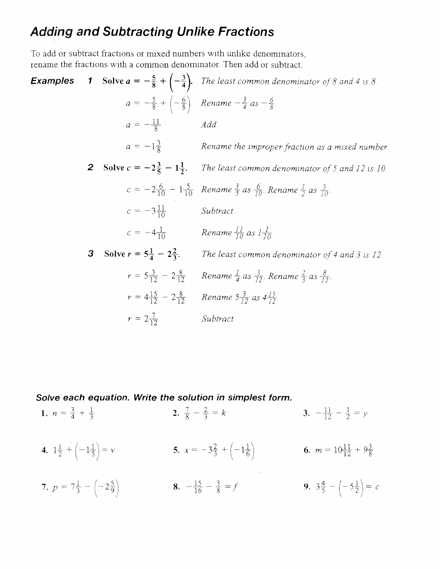# **Adding and Subtracting Unlike Fractions**

To add or subtract fractions or mixed numbers with unlike denominators, rename the fractions with a common denominator. Then add or subtract.

| Examples |                |                                            | <b>1</b> Solve $a = -\frac{5}{8} + \left(-\frac{3}{4}\right)$ . The least common denominator of 8 and 4 is 8.          |
|----------|----------------|--------------------------------------------|------------------------------------------------------------------------------------------------------------------------|
|          |                |                                            | $a = -\frac{5}{8} + \left(-\frac{6}{8}\right)$ Rename $-\frac{3}{4}$ as $-\frac{6}{8}$ .                               |
|          |                | $a=-\frac{11}{8}$                          | Add                                                                                                                    |
|          |                |                                            | $a = -1\frac{3}{8}$ Rename the improper fraction as a mixed number.                                                    |
|          | $\overline{2}$ | Solve $c = -2\frac{3}{5} - 1\frac{1}{2}$ . | The least common denominator of 5 and 12 is 10.                                                                        |
|          |                |                                            | $c = -2\frac{6}{10} - 1\frac{5}{10}$ Rename $\frac{3}{5}$ as $\frac{6}{10}$ . Rename $\frac{1}{2}$ as $\frac{5}{10}$ . |
|          |                | $c = -3\frac{11}{10}$                      | Subtract.                                                                                                              |
|          |                |                                            | $c = -4\frac{1}{10}$ Rename $\frac{11}{10}$ as $l\frac{1}{10}$                                                         |
|          | 3              |                                            | <b>Solve <math>r = 5\frac{1}{4} - 2\frac{2}{3}</math>.</b> The least common denominator of 4 and 3 is 12.              |
|          |                |                                            | $r = 5\frac{3}{12} - 2\frac{8}{12}$ Rename $\frac{1}{4}$ as $\frac{3}{12}$ . Rename $\frac{2}{3}$ as $\frac{8}{12}$ .  |
|          |                |                                            | $r = 4\frac{15}{12} - 2\frac{8}{12}$ Rename $5\frac{3}{12}$ as $4\frac{15}{12}$ .                                      |
|          |                | $r = 2\frac{7}{12}$ Subtract.              |                                                                                                                        |

Solve each equation. Write the solution in simplest form.

| 1. $n = \frac{3}{4} + \frac{1}{3}$                 | 2. $\frac{7}{8} - \frac{2}{3} = k$                  | 3. $-\frac{11}{12} - \frac{1}{2} = y$              |
|----------------------------------------------------|-----------------------------------------------------|----------------------------------------------------|
| 4. $1\frac{1}{2} + \left(-1\frac{1}{5}\right) = v$ | 5. $x = -3\frac{2}{3} + \left(-1\frac{1}{6}\right)$ | 6. $m = 10\frac{11}{12} + 9\frac{3}{8}$            |
| 7. $p = 7\frac{1}{3} - \left(-2\frac{5}{9}\right)$ | 8. $-\frac{15}{16} - \frac{3}{8} = f$               | 9. $3\frac{4}{5} - \left(-5\frac{1}{2}\right) = c$ |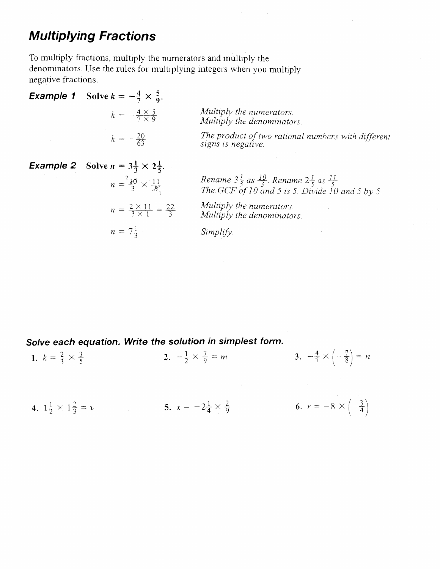## **Multiplying Fractions**

To multiply fractions, multiply the numerators and multiply the denominators. Use the rules for multiplying integers when you multiply negative fractions.

**Example 1 Solve** 
$$
k = -\frac{4}{7} \times \frac{5}{9}
$$
.  
\n $k = -\frac{4 \times 5}{7 \times 9}$   
\nMultiply the numerators.  
\nMultiply the denominators.  
\n $k = -\frac{20}{63}$   
\n*The product of two rational numbers with different signs is negative.*

\n**Example 2 Solve**  $n = 3\frac{1}{3} \times 2\frac{1}{5}$ .  
\n*Example 32 Solve*  $n = 3\frac{1}{3} \times 2\frac{1}{5}$ .  
\n*Example 4*  
\n*Example 5 Use*  $n = 3\frac{1}{3} \times 2\frac{1}{5}$ .  
\n*Example 84 as*  $10$  *Range 31 as*  $11$  *Range 21 as*  $11$  *Example 31.*

$$
n = \frac{2 \times 11}{3} \times \frac{11}{5}
$$
  
 
$$
n = \frac{2 \times 11}{2} = \frac{22}{2}
$$
  
 *Multiply the numerators.*

 $n = \frac{20+1}{3 \times 1} =$  $\overline{3}$ Multiply the denominators.

$$
= 7\frac{1}{3} \qquad S
$$

 $\overline{n}$ 

 $Simplify.$ 

## Solve each equation. Write the solution in simplest form. 3.  $-\frac{4}{7} \times \left(-\frac{7}{8}\right) = n$ 2.  $-\frac{1}{2} \times \frac{7}{9} = m$ 1.  $k = \frac{2}{3} \times \frac{3}{5}$ 4.  $1\frac{1}{2} \times 1\frac{2}{3} = v$  5.  $x = -2\frac{1}{4} \times \frac{2}{9}$ 6.  $r = -8 \times \left(-\frac{3}{4}\right)$